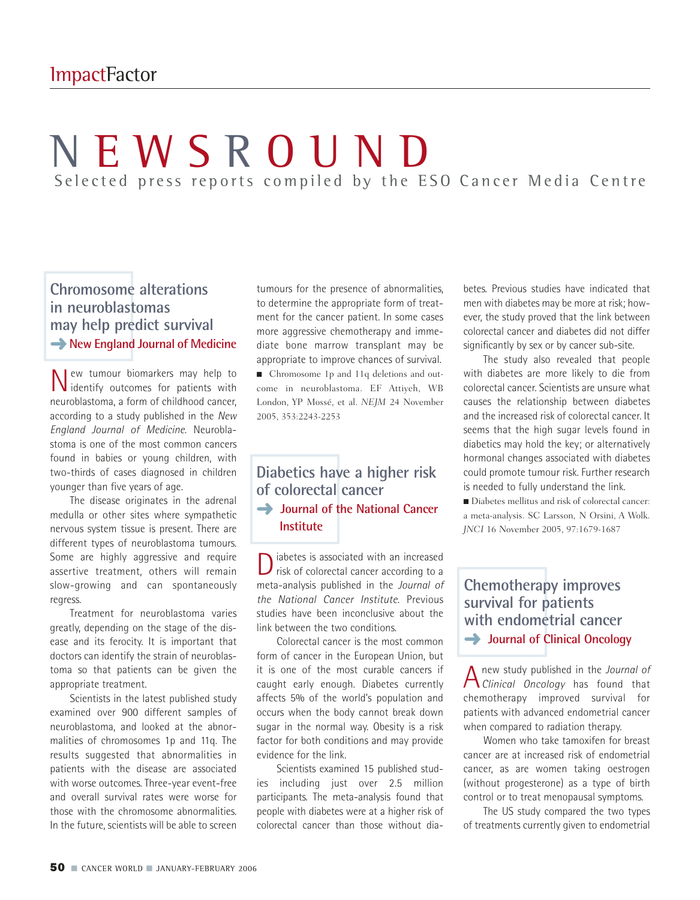# **NEWSROUND** Selected press reports compiled by the ESO Cancer Media Centre

# **Chromosome alterations in neuroblastomas may help predict survival → New England Journal of Medicine**

New tumour biomarkers may help to identify outcomes for patients with neuroblastoma, a form of childhood cancer, according to a study published in the *New England Journal of Medicine*. Neuroblastoma is one of the most common cancers found in babies or young children, with two-thirds of cases diagnosed in children younger than five years of age.

The disease originates in the adrenal medulla or other sites where sympathetic nervous system tissue is present. There are different types of neuroblastoma tumours. Some are highly aggressive and require assertive treatment, others will remain slow-growing and can spontaneously regress.

Treatment for neuroblastoma varies greatly, depending on the stage of the disease and its ferocity. It is important that doctors can identify the strain of neuroblastoma so that patients can be given the appropriate treatment.

Scientists in the latest published study examined over 900 different samples of neuroblastoma, and looked at the abnormalities of chromosomes 1p and 11q. The results suggested that abnormalities in patients with the disease are associated with worse outcomes. Three-year event-free and overall survival rates were worse for those with the chromosome abnormalities. In the future, scientists will be able to screen

tumours for the presence of abnormalities, to determine the appropriate form of treatment for the cancer patient. In some cases more aggressive chemotherapy and immediate bone marrow transplant may be appropriate to improve chances of survival. ■ Chromosome 1p and 11q deletions and outcome in neuroblastoma. EF Attiyeh, WB London, YP Mossé, et al. *NEJM* 24 November 2005, 353:2243-2253

# **Diabetics have a higher risk of colorectal cancer → Journal of the National Cancer Institute**

D iabetes is associated with an increased<br>risk of colorectal cancer according to a meta-analysis published in the *Journal of the National Cancer Institute*. Previous studies have been inconclusive about the link between the two conditions.

Colorectal cancer is the most common form of cancer in the European Union, but it is one of the most curable cancers if caught early enough. Diabetes currently affects 5% of the world's population and occurs when the body cannot break down sugar in the normal way. Obesity is a risk factor for both conditions and may provide evidence for the link.

Scientists examined 15 published studies including just over 2.5 million participants. The meta-analysis found that people with diabetes were at a higher risk of colorectal cancer than those without diabetes. Previous studies have indicated that men with diabetes may be more at risk; however, the study proved that the link between colorectal cancer and diabetes did not differ significantly by sex or by cancer sub-site.

The study also revealed that people with diabetes are more likely to die from colorectal cancer. Scientists are unsure what causes the relationship between diabetes and the increased risk of colorectal cancer. It seems that the high sugar levels found in diabetics may hold the key; or alternatively hormonal changes associated with diabetes could promote tumour risk. Further research is needed to fully understand the link.

■ Diabetes mellitus and risk of colorectal cancer: a meta-analysis. SC Larsson, N Orsini, A Wolk. *JNCI* 16 November 2005, 97:1679-1687

#### **Chemotherapy improves survival for patients with endometrial cancer → Journal of Clinical Oncology**

Anew study published in the *Journal of Clinical Oncology* has found that chemotherapy improved survival for patients with advanced endometrial cancer when compared to radiation therapy.

Women who take tamoxifen for breast cancer are at increased risk of endometrial cancer, as are women taking oestrogen (without progesterone) as a type of birth control or to treat menopausal symptoms.

The US study compared the two types of treatments currently given to endometrial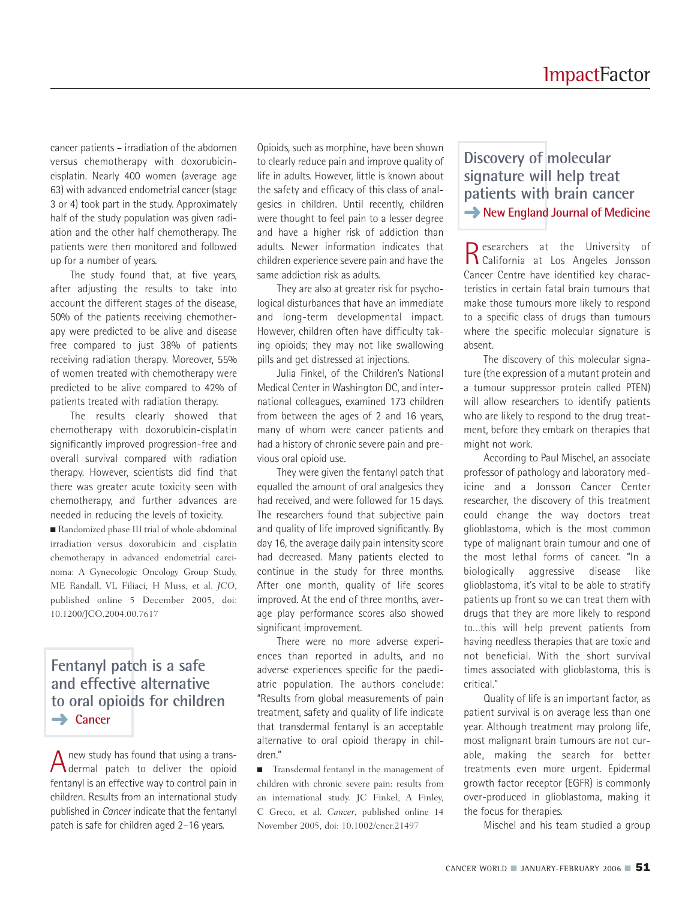cancer patients – irradiation of the abdomen versus chemotherapy with doxorubicincisplatin. Nearly 400 women (average age 63) with advanced endometrial cancer (stage 3 or 4) took part in the study. Approximately half of the study population was given radiation and the other half chemotherapy. The patients were then monitored and followed up for a number of years.

The study found that, at five years, after adjusting the results to take into account the different stages of the disease, 50% of the patients receiving chemotherapy were predicted to be alive and disease free compared to just 38% of patients receiving radiation therapy. Moreover, 55% of women treated with chemotherapy were predicted to be alive compared to 42% of patients treated with radiation therapy.

The results clearly showed that chemotherapy with doxorubicin-cisplatin significantly improved progression-free and overall survival compared with radiation therapy. However, scientists did find that there was greater acute toxicity seen with chemotherapy, and further advances are needed in reducing the levels of toxicity.

■ Randomized phase III trial of whole-abdominal irradiation versus doxorubicin and cisplatin chemotherapy in advanced endometrial carcinoma: A Gynecologic Oncology Group Study. ME Randall, VL Filiaci, H Muss, et al. *JCO*, published online 5 December 2005, doi: 10.1200/JCO.2004.00.7617

# **Fentanyl patch is a safe and effective alternative to oral opioids for children**  ➜ **Cancer**

A new study has found that using a trans-<br>dermal patch to deliver the opioid fentanyl is an effective way to control pain in children. Results from an international study published in *Cancer* indicate that the fentanyl patch is safe for children aged 2–16 years.

Opioids, such as morphine, have been shown to clearly reduce pain and improve quality of life in adults. However, little is known about the safety and efficacy of this class of analgesics in children. Until recently, children were thought to feel pain to a lesser degree and have a higher risk of addiction than adults. Newer information indicates that children experience severe pain and have the same addiction risk as adults.

They are also at greater risk for psychological disturbances that have an immediate and long-term developmental impact. However, children often have difficulty taking opioids; they may not like swallowing pills and get distressed at injections.

Julia Finkel, of the Children's National Medical Center in Washington DC, and international colleagues, examined 173 children from between the ages of 2 and 16 years, many of whom were cancer patients and had a history of chronic severe pain and previous oral opioid use.

They were given the fentanyl patch that equalled the amount of oral analgesics they had received, and were followed for 15 days. The researchers found that subjective pain and quality of life improved significantly. By day 16, the average daily pain intensity score had decreased. Many patients elected to continue in the study for three months. After one month, quality of life scores improved. At the end of three months, average play performance scores also showed significant improvement.

There were no more adverse experiences than reported in adults, and no adverse experiences specific for the paediatric population. The authors conclude: "Results from global measurements of pain treatment, safety and quality of life indicate that transdermal fentanyl is an acceptable alternative to oral opioid therapy in children."

■ Transdermal fentanyl in the management of children with chronic severe pain: results from an international study. JC Finkel, A Finley, C Greco, et al. *Cancer*, published online 14 November 2005, doi: 10.1002/cncr.21497

# **Discovery of molecular signature will help treat patients with brain cancer → New England Journal of Medicine**

Researchers at the University of California at Los Angeles Jonsson Cancer Centre have identified key characteristics in certain fatal brain tumours that make those tumours more likely to respond to a specific class of drugs than tumours where the specific molecular signature is absent.

The discovery of this molecular signature (the expression of a mutant protein and a tumour suppressor protein called PTEN) will allow researchers to identify patients who are likely to respond to the drug treatment, before they embark on therapies that might not work.

According to Paul Mischel, an associate professor of pathology and laboratory medicine and a Jonsson Cancer Center researcher, the discovery of this treatment could change the way doctors treat glioblastoma, which is the most common type of malignant brain tumour and one of the most lethal forms of cancer. "In a biologically aggressive disease like glioblastoma, it's vital to be able to stratify patients up front so we can treat them with drugs that they are more likely to respond to…this will help prevent patients from having needless therapies that are toxic and not beneficial. With the short survival times associated with glioblastoma, this is critical."

Quality of life is an important factor, as patient survival is on average less than one year. Although treatment may prolong life, most malignant brain tumours are not curable, making the search for better treatments even more urgent. Epidermal growth factor receptor (EGFR) is commonly over-produced in glioblastoma, making it the focus for therapies.

Mischel and his team studied a group